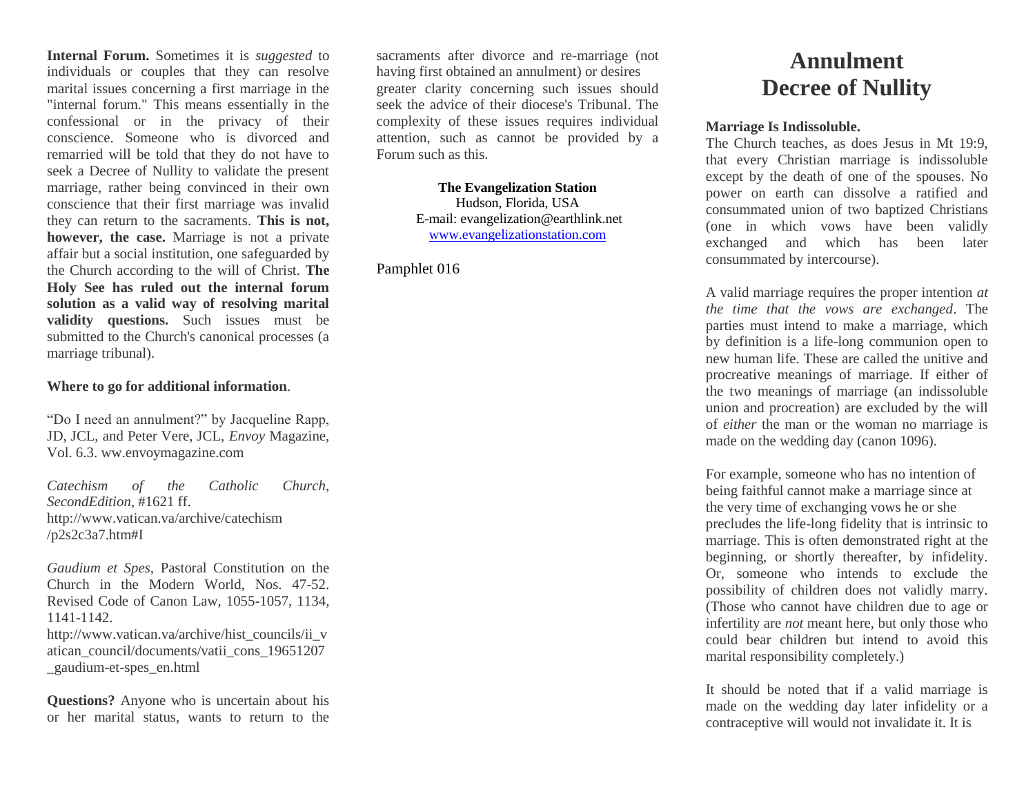**Internal Forum.** Sometimes it is *suggested* to individuals or couples that they can resolve marital issues concerning a first marriage in the "internal forum." This means essentially in the confessional or in the privacy of their conscience. Someone who is divorced and remarried will be told that they do not have to seek a Decree of Nullity to validate the present marriage, rather being convinced in their own conscience that their first marriage was invalid they can return to the sacraments. **This is not, however, the case.** Marriage is not a private affair but a social institution, one safeguarded by the Church according to the will of Christ. **The Holy See has ruled out the internal forum solution as a valid way of resolving marital validity questions.** Such issues must be submitted to the Church's canonical processes (a marriage tribunal).

## **Where to go for additional information**.

"Do I need an annulment?" by Jacqueline Rapp, JD, JCL, and Peter Vere, JCL, *Envoy* Magazine, Vol. 6.3. ww.envoymagazine.com

*Catechism of the Catholic Church, SecondEdition*, #1621 ff. http://www.vatican.va/archive/catechism /p2s2c3a7.htm#I

*Gaudium et Spes*, Pastoral Constitution on the Church in the Modern World, Nos. 47-52. Revised Code of Canon Law, 1055-1057, 1134, 1141-1142. http://www.vatican.va/archive/hist\_councils/ii\_v atican\_council/documents/vatii\_cons\_19651207 \_gaudium-et-spes\_en.html

**Questions?** Anyone who is uncertain about his or her marital status, wants to return to the sacraments after divorce and re-marriage (not having first obtained an annulment) or desires greater clarity concerning such issues should seek the advice of their diocese's Tribunal. The complexity of these issues requires individual attention, such as cannot be provided by a Forum such as this.

> **The Evangelization Station** Hudson, Florida, USA E-mail: evangelization@earthlink.net [www.evangelizationstation.com](http://www.pjpiisoe.org/)

Pamphlet 016

## **Annulment Decree of Nullity**

## **Marriage Is Indissoluble.**

The Church teaches, as does Jesus in Mt 19:9, that every Christian marriage is indissoluble except by the death of one of the spouses. No power on earth can dissolve a ratified and consummated union of two baptized Christians (one in which vows have been validly exchanged and which has been later consummated by intercourse).

A valid marriage requires the proper intention *at the time that the vows are exchanged*. The parties must intend to make a marriage, which by definition is a life-long communion open to new human life. These are called the unitive and procreative meanings of marriage. If either of the two meanings of marriage (an indissoluble union and procreation) are excluded by the will of *either* the man or the woman no marriage is made on the wedding day (canon 1096).

For example, someone who has no intention of being faithful cannot make a marriage since at the very time of exchanging vows he or she precludes the life-long fidelity that is intrinsic to marriage. This is often demonstrated right at the beginning, or shortly thereafter, by infidelity. Or, someone who intends to exclude the possibility of children does not validly marry. (Those who cannot have children due to age or infertility are *not* meant here, but only those who could bear children but intend to avoid this marital responsibility completely.)

It should be noted that if a valid marriage is made on the wedding day later infidelity or a contraceptive will would not invalidate it. It is